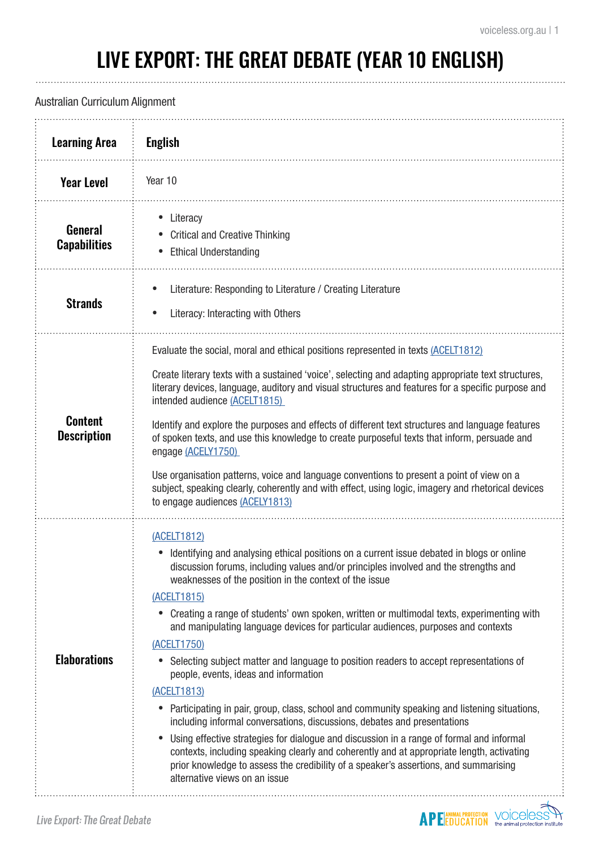# LIVE EXPORT: THE GREAT DEBATE (YEAR 10 ENGLISH)

### Australian Curriculum Alignment

| <b>Learning Area</b>                  | <b>English</b>                                                                                                                                                                                                                                                                                                                                                                                                                                                                                                                                                                                                                                                                                                                                                                                                                                                                                                                                                                                                                                                                                                               |
|---------------------------------------|------------------------------------------------------------------------------------------------------------------------------------------------------------------------------------------------------------------------------------------------------------------------------------------------------------------------------------------------------------------------------------------------------------------------------------------------------------------------------------------------------------------------------------------------------------------------------------------------------------------------------------------------------------------------------------------------------------------------------------------------------------------------------------------------------------------------------------------------------------------------------------------------------------------------------------------------------------------------------------------------------------------------------------------------------------------------------------------------------------------------------|
| <b>Year Level</b>                     | Year 10                                                                                                                                                                                                                                                                                                                                                                                                                                                                                                                                                                                                                                                                                                                                                                                                                                                                                                                                                                                                                                                                                                                      |
| <b>General</b><br><b>Capabilities</b> | Literacy<br><b>Critical and Creative Thinking</b><br><b>Ethical Understanding</b><br>$\bullet$                                                                                                                                                                                                                                                                                                                                                                                                                                                                                                                                                                                                                                                                                                                                                                                                                                                                                                                                                                                                                               |
| <b>Strands</b>                        | Literature: Responding to Literature / Creating Literature<br>$\bullet$<br>Literacy: Interacting with Others<br>$\bullet$                                                                                                                                                                                                                                                                                                                                                                                                                                                                                                                                                                                                                                                                                                                                                                                                                                                                                                                                                                                                    |
| <b>Content</b><br><b>Description</b>  | Evaluate the social, moral and ethical positions represented in texts (ACELT1812)<br>Create literary texts with a sustained 'voice', selecting and adapting appropriate text structures,<br>literary devices, language, auditory and visual structures and features for a specific purpose and<br>intended audience (ACELT1815)<br>Identify and explore the purposes and effects of different text structures and language features<br>of spoken texts, and use this knowledge to create purposeful texts that inform, persuade and<br>engage (ACELY1750)<br>Use organisation patterns, voice and language conventions to present a point of view on a<br>subject, speaking clearly, coherently and with effect, using logic, imagery and rhetorical devices<br>to engage audiences (ACELY1813)                                                                                                                                                                                                                                                                                                                              |
| <b>Elaborations</b>                   | (ACELT1812)<br>Identifying and analysing ethical positions on a current issue debated in blogs or online<br>discussion forums, including values and/or principles involved and the strengths and<br>weaknesses of the position in the context of the issue<br>(ACELT1815)<br>• Creating a range of students' own spoken, written or multimodal texts, experimenting with<br>and manipulating language devices for particular audiences, purposes and contexts<br>(ACELT1750)<br>Selecting subject matter and language to position readers to accept representations of<br>people, events, ideas and information<br>(ACELT1813)<br>Participating in pair, group, class, school and community speaking and listening situations,<br>including informal conversations, discussions, debates and presentations<br>Using effective strategies for dialogue and discussion in a range of formal and informal<br>contexts, including speaking clearly and coherently and at appropriate length, activating<br>prior knowledge to assess the credibility of a speaker's assertions, and summarising<br>alternative views on an issue |
| Live Export: The Great Debate         |                                                                                                                                                                                                                                                                                                                                                                                                                                                                                                                                                                                                                                                                                                                                                                                                                                                                                                                                                                                                                                                                                                                              |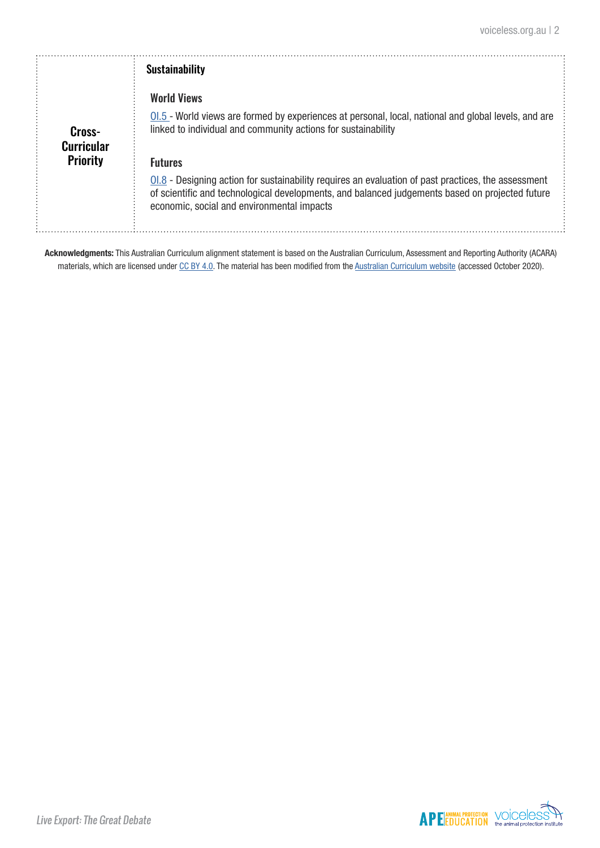|                             | <b>Sustainability</b>                                                                                                                                                                                                                                  |
|-----------------------------|--------------------------------------------------------------------------------------------------------------------------------------------------------------------------------------------------------------------------------------------------------|
|                             | <b>World Views</b>                                                                                                                                                                                                                                     |
| Cross-<br><b>Curricular</b> | $0.5$ - World views are formed by experiences at personal, local, national and global levels, and are<br>linked to individual and community actions for sustainability                                                                                 |
| <b>Priority</b>             | <b>Futures</b>                                                                                                                                                                                                                                         |
|                             | $01.8$ - Designing action for sustainability requires an evaluation of past practices, the assessment<br>of scientific and technological developments, and balanced judgements based on projected future<br>economic, social and environmental impacts |

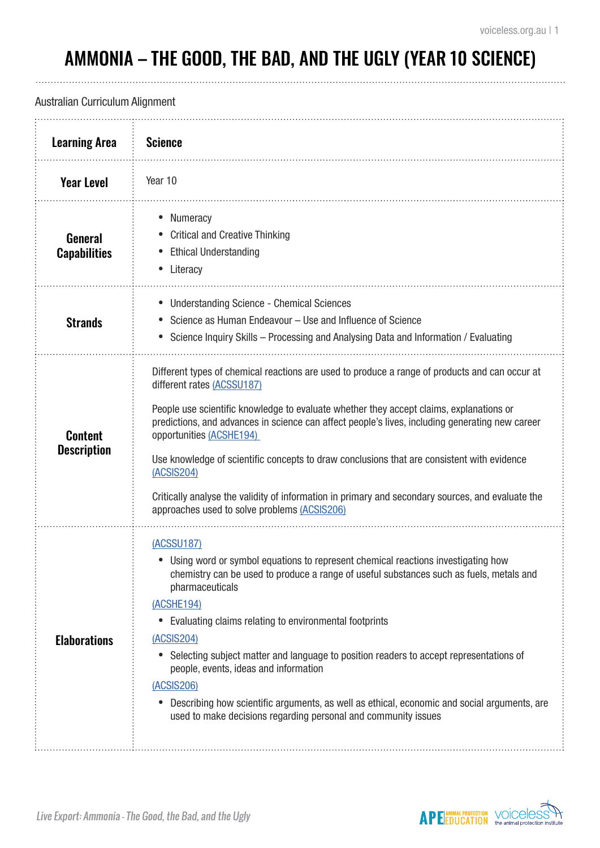. . . . . . . . . .

# AMMONIA – THE GOOD, THE BAD, AND THE UGLY (YEAR 10 SCIENCE)

## Australian Curriculum Alignment

| <b>Learning Area</b>                  | <b>Science</b>                                                                                                                                                                                                                                                                                                                                                                                                                                                                                                                                                                                                                      |
|---------------------------------------|-------------------------------------------------------------------------------------------------------------------------------------------------------------------------------------------------------------------------------------------------------------------------------------------------------------------------------------------------------------------------------------------------------------------------------------------------------------------------------------------------------------------------------------------------------------------------------------------------------------------------------------|
| <b>Year Level</b>                     | Year 10                                                                                                                                                                                                                                                                                                                                                                                                                                                                                                                                                                                                                             |
| <b>General</b><br><b>Capabilities</b> | Numeracy<br><b>Critical and Creative Thinking</b><br><b>Ethical Understanding</b><br>Literacy                                                                                                                                                                                                                                                                                                                                                                                                                                                                                                                                       |
| <b>Strands</b>                        | <b>Understanding Science - Chemical Sciences</b><br>Science as Human Endeavour - Use and Influence of Science<br>• Science Inquiry Skills – Processing and Analysing Data and Information / Evaluating                                                                                                                                                                                                                                                                                                                                                                                                                              |
| <b>Content</b><br><b>Description</b>  | Different types of chemical reactions are used to produce a range of products and can occur at<br>different rates (ACSSU187)<br>People use scientific knowledge to evaluate whether they accept claims, explanations or<br>predictions, and advances in science can affect people's lives, including generating new career<br>opportunities (ACSHE194)<br>Use knowledge of scientific concepts to draw conclusions that are consistent with evidence<br>(ACSIS204)<br>Critically analyse the validity of information in primary and secondary sources, and evaluate the<br>approaches used to solve problems (ACSIS206)             |
| <b>Elaborations</b>                   | (ACSSU187)<br>• Using word or symbol equations to represent chemical reactions investigating how<br>chemistry can be used to produce a range of useful substances such as fuels, metals and<br>pharmaceuticals<br>(ACSHE194)<br>Evaluating claims relating to environmental footprints<br>$\bullet$<br>(ACSIS204)<br>Selecting subject matter and language to position readers to accept representations of<br>people, events, ideas and information<br>(ACSIS206)<br>Describing how scientific arguments, as well as ethical, economic and social arguments, are<br>used to make decisions regarding personal and community issues |

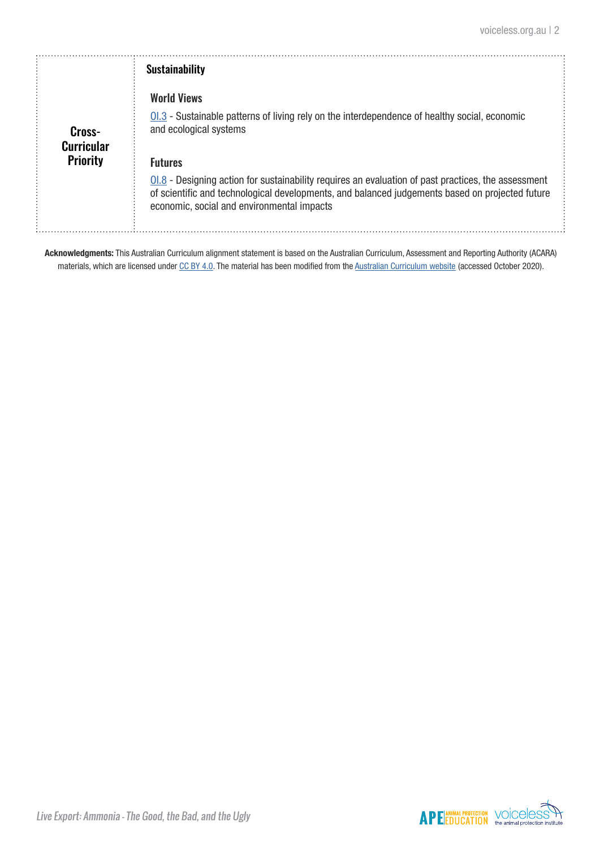|                             | <b>Sustainability</b>                                                                                                                                                                                                                                  |
|-----------------------------|--------------------------------------------------------------------------------------------------------------------------------------------------------------------------------------------------------------------------------------------------------|
| Cross-<br><b>Curricular</b> | <b>World Views</b><br>01.3 - Sustainable patterns of living rely on the interdependence of healthy social, economic<br>and ecological systems                                                                                                          |
| <b>Priority</b>             | <b>Futures</b>                                                                                                                                                                                                                                         |
|                             | $01.8$ - Designing action for sustainability requires an evaluation of past practices, the assessment<br>of scientific and technological developments, and balanced judgements based on projected future<br>economic, social and environmental impacts |

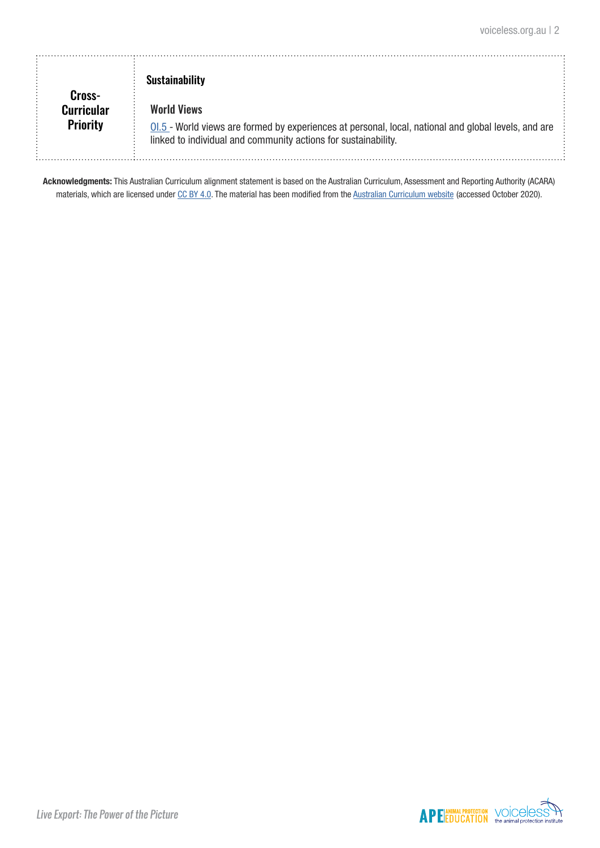| Cross-                               | <b>Sustainability</b>                                                                                                                                                                         |  |
|--------------------------------------|-----------------------------------------------------------------------------------------------------------------------------------------------------------------------------------------------|--|
| <b>Curricular</b><br><b>Priority</b> | <b>World Views</b><br>$0.5$ - World views are formed by experiences at personal, local, national and global levels, and are<br>linked to individual and community actions for sustainability. |  |

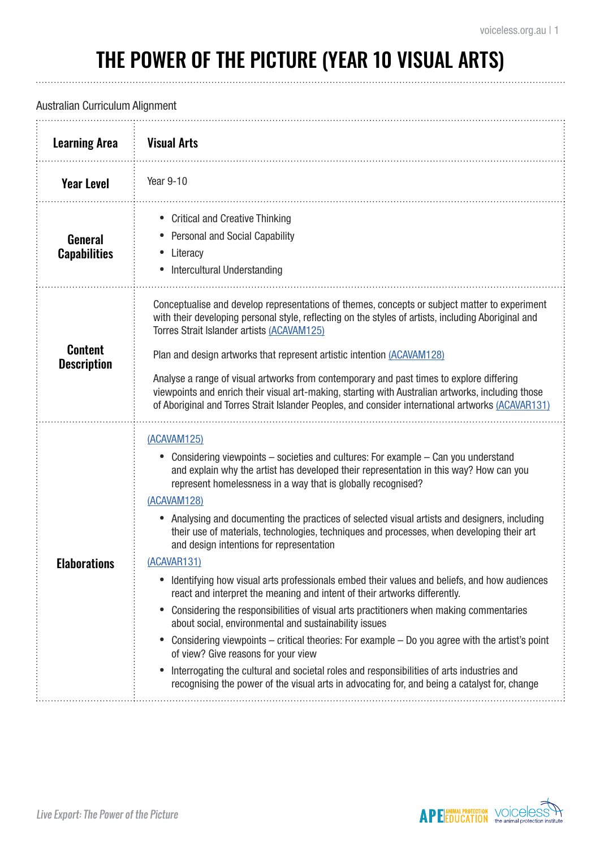# THE POWER OF THE PICTURE (YEAR 10 VISUAL ARTS)

#### Australian Curriculum Alignment

| <b>Learning Area</b>                  | <b>Visual Arts</b>                                                                                                                                                                                                                                                                                                                                                                                                                                                                                                                                                                                                                                                                                                                                                                                                                                                                                                                                                                                                                                                                                                                                                                                                 |
|---------------------------------------|--------------------------------------------------------------------------------------------------------------------------------------------------------------------------------------------------------------------------------------------------------------------------------------------------------------------------------------------------------------------------------------------------------------------------------------------------------------------------------------------------------------------------------------------------------------------------------------------------------------------------------------------------------------------------------------------------------------------------------------------------------------------------------------------------------------------------------------------------------------------------------------------------------------------------------------------------------------------------------------------------------------------------------------------------------------------------------------------------------------------------------------------------------------------------------------------------------------------|
| <b>Year Level</b>                     | Year 9-10                                                                                                                                                                                                                                                                                                                                                                                                                                                                                                                                                                                                                                                                                                                                                                                                                                                                                                                                                                                                                                                                                                                                                                                                          |
| <b>General</b><br><b>Capabilities</b> | <b>Critical and Creative Thinking</b><br>Personal and Social Capability<br>Literacy<br>Intercultural Understanding                                                                                                                                                                                                                                                                                                                                                                                                                                                                                                                                                                                                                                                                                                                                                                                                                                                                                                                                                                                                                                                                                                 |
| <b>Content</b><br><b>Description</b>  | Conceptualise and develop representations of themes, concepts or subject matter to experiment<br>with their developing personal style, reflecting on the styles of artists, including Aboriginal and<br>Torres Strait Islander artists (ACAVAM125)<br>Plan and design artworks that represent artistic intention (ACAVAM128)<br>Analyse a range of visual artworks from contemporary and past times to explore differing<br>viewpoints and enrich their visual art-making, starting with Australian artworks, including those<br>of Aboriginal and Torres Strait Islander Peoples, and consider international artworks (ACAVAR131)                                                                                                                                                                                                                                                                                                                                                                                                                                                                                                                                                                                 |
| <b>Elaborations</b>                   | (ACAVAM125)<br>Considering viewpoints – societies and cultures: For example – Can you understand<br>and explain why the artist has developed their representation in this way? How can you<br>represent homelessness in a way that is globally recognised?<br>(ACAVAM128)<br>Analysing and documenting the practices of selected visual artists and designers, including<br>their use of materials, technologies, techniques and processes, when developing their art<br>and design intentions for representation<br>(ACAVAR131)<br>Identifying how visual arts professionals embed their values and beliefs, and how audiences<br>react and interpret the meaning and intent of their artworks differently.<br>Considering the responsibilities of visual arts practitioners when making commentaries<br>$\bullet$<br>about social, environmental and sustainability issues<br>Considering viewpoints – critical theories: For example – Do you agree with the artist's point<br>of view? Give reasons for your view<br>Interrogating the cultural and societal roles and responsibilities of arts industries and<br>recognising the power of the visual arts in advocating for, and being a catalyst for, change |

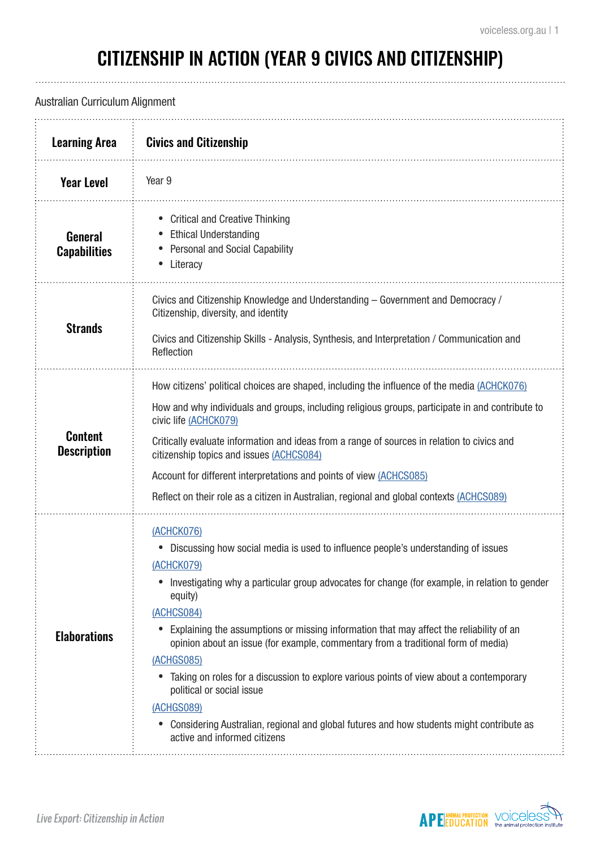. . . . . . . . . . . . . . . . . . .

# CITIZENSHIP IN ACTION (YEAR 9 CIVICS AND CITIZENSHIP)

### Australian Curriculum Alignment

| <b>Learning Area</b>                  | <b>Civics and Citizenship</b>                                                                                                                                                                                                                                                                                                                                                                                                                                                                                                                                                                                                                                                                                        |
|---------------------------------------|----------------------------------------------------------------------------------------------------------------------------------------------------------------------------------------------------------------------------------------------------------------------------------------------------------------------------------------------------------------------------------------------------------------------------------------------------------------------------------------------------------------------------------------------------------------------------------------------------------------------------------------------------------------------------------------------------------------------|
| <b>Year Level</b>                     | Year 9                                                                                                                                                                                                                                                                                                                                                                                                                                                                                                                                                                                                                                                                                                               |
| <b>General</b><br><b>Capabilities</b> | <b>Critical and Creative Thinking</b><br><b>Ethical Understanding</b><br><b>Personal and Social Capability</b><br>Literacy                                                                                                                                                                                                                                                                                                                                                                                                                                                                                                                                                                                           |
| <b>Strands</b>                        | Civics and Citizenship Knowledge and Understanding - Government and Democracy /<br>Citizenship, diversity, and identity<br>Civics and Citizenship Skills - Analysis, Synthesis, and Interpretation / Communication and<br>Reflection                                                                                                                                                                                                                                                                                                                                                                                                                                                                                 |
| <b>Content</b><br><b>Description</b>  | How citizens' political choices are shaped, including the influence of the media (ACHCK076)<br>How and why individuals and groups, including religious groups, participate in and contribute to<br>civic life (ACHCK079)<br>Critically evaluate information and ideas from a range of sources in relation to civics and<br>citizenship topics and issues (ACHCS084)<br>Account for different interpretations and points of view (ACHCS085)<br>Reflect on their role as a citizen in Australian, regional and global contexts (ACHCS089)                                                                                                                                                                              |
| <b>Elaborations</b>                   | (ACHCK076)<br>Discussing how social media is used to influence people's understanding of issues<br>(ACHCK079)<br>Investigating why a particular group advocates for change (for example, in relation to gender<br>equity)<br>(ACHCS084)<br>Explaining the assumptions or missing information that may affect the reliability of an<br>opinion about an issue (for example, commentary from a traditional form of media)<br>(ACHGS085)<br>Taking on roles for a discussion to explore various points of view about a contemporary<br>political or social issue<br>(ACHGS089)<br>Considering Australian, regional and global futures and how students might contribute as<br>$\bullet$<br>active and informed citizens |

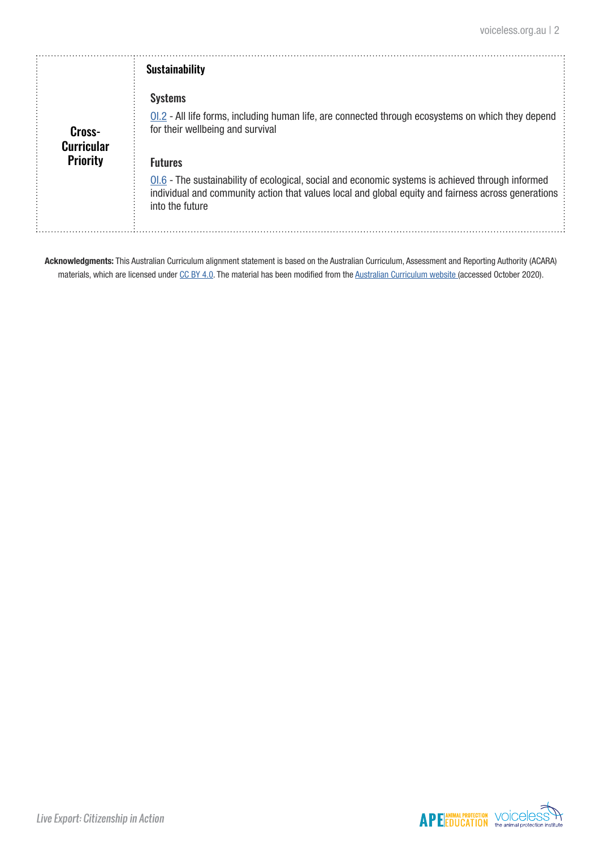|                                                | <b>Sustainability</b>                                                                                                                                                                                                                          |
|------------------------------------------------|------------------------------------------------------------------------------------------------------------------------------------------------------------------------------------------------------------------------------------------------|
| Cross-<br><b>Curricular</b><br><b>Priority</b> | <b>Systems</b><br>0.2 - All life forms, including human life, are connected through ecosystems on which they depend<br>for their wellbeing and survival                                                                                        |
|                                                | <b>Futures</b><br>$0.6$ - The sustainability of ecological, social and economic systems is achieved through informed<br>individual and community action that values local and global equity and fairness across generations<br>into the future |

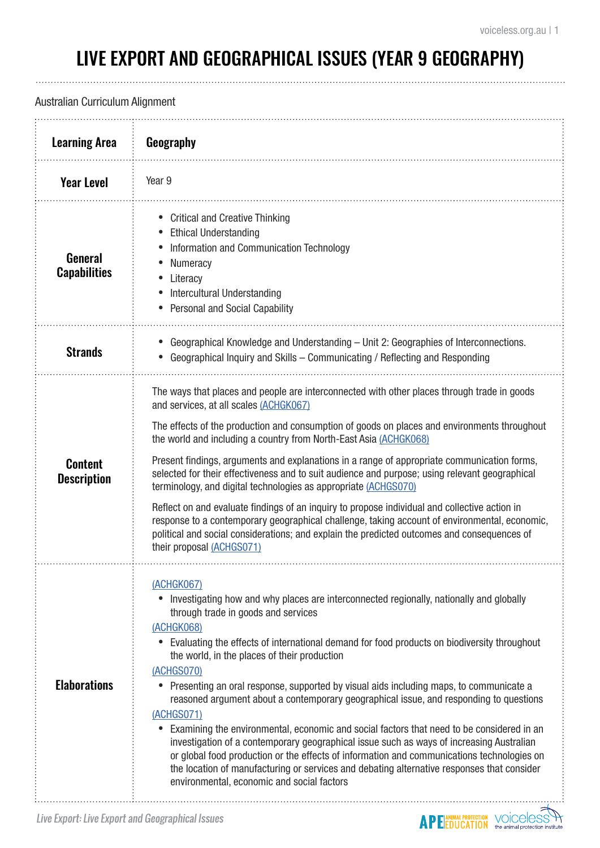**APE EDUCATION WOICELS** 

. . . . . . . . . . . . .

# LIVE EXPORT AND GEOGRAPHICAL ISSUES (YEAR 9 GEOGRAPHY)

### Australian Curriculum Alignment

| <b>Learning Area</b>                  | Geography                                                                                                                                                                                                                                                                                                                                                                                                                                                                                                                                                                                                                                                                                                                                                                                                                                                                                                                                                                          |
|---------------------------------------|------------------------------------------------------------------------------------------------------------------------------------------------------------------------------------------------------------------------------------------------------------------------------------------------------------------------------------------------------------------------------------------------------------------------------------------------------------------------------------------------------------------------------------------------------------------------------------------------------------------------------------------------------------------------------------------------------------------------------------------------------------------------------------------------------------------------------------------------------------------------------------------------------------------------------------------------------------------------------------|
| <b>Year Level</b>                     | Year 9                                                                                                                                                                                                                                                                                                                                                                                                                                                                                                                                                                                                                                                                                                                                                                                                                                                                                                                                                                             |
| <b>General</b><br><b>Capabilities</b> | <b>Critical and Creative Thinking</b><br><b>Ethical Understanding</b><br>Information and Communication Technology<br>Numeracy<br>Literacy<br>Intercultural Understanding<br><b>Personal and Social Capability</b>                                                                                                                                                                                                                                                                                                                                                                                                                                                                                                                                                                                                                                                                                                                                                                  |
| <b>Strands</b>                        | Geographical Knowledge and Understanding - Unit 2: Geographies of Interconnections.<br>Geographical Inquiry and Skills - Communicating / Reflecting and Responding                                                                                                                                                                                                                                                                                                                                                                                                                                                                                                                                                                                                                                                                                                                                                                                                                 |
| <b>Content</b><br><b>Description</b>  | The ways that places and people are interconnected with other places through trade in goods<br>and services, at all scales (ACHGK067)<br>The effects of the production and consumption of goods on places and environments throughout<br>the world and including a country from North-East Asia (ACHGK068)<br>Present findings, arguments and explanations in a range of appropriate communication forms,<br>selected for their effectiveness and to suit audience and purpose; using relevant geographical<br>terminology, and digital technologies as appropriate (ACHGS070)<br>Reflect on and evaluate findings of an inquiry to propose individual and collective action in<br>response to a contemporary geographical challenge, taking account of environmental, economic,<br>political and social considerations; and explain the predicted outcomes and consequences of<br>their proposal (ACHGS071)                                                                       |
| <b>Elaborations</b>                   | <u>(ACHGK067)</u><br>Investigating how and why places are interconnected regionally, nationally and globally<br>through trade in goods and services<br>(ACHGK068)<br>Evaluating the effects of international demand for food products on biodiversity throughout<br>$\bullet$<br>the world, in the places of their production<br>(ACHGS070)<br>• Presenting an oral response, supported by visual aids including maps, to communicate a<br>reasoned argument about a contemporary geographical issue, and responding to questions<br>(ACHGS071)<br>Examining the environmental, economic and social factors that need to be considered in an<br>investigation of a contemporary geographical issue such as ways of increasing Australian<br>or global food production or the effects of information and communications technologies on<br>the location of manufacturing or services and debating alternative responses that consider<br>environmental, economic and social factors |